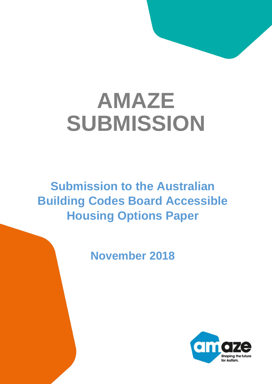# **AMAZE SUBMISSION**

**Submission to the Australian Building Codes Board Accessible Housing Options Paper**

**November 2018**

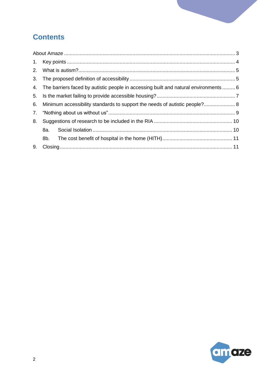# **Contents**

| 3. |                                                                                         |  |  |
|----|-----------------------------------------------------------------------------------------|--|--|
|    | 4. The barriers faced by autistic people in accessing built and natural environments  6 |  |  |
| 5. |                                                                                         |  |  |
| 6. | Minimum accessibility standards to support the needs of autistic people? 8              |  |  |
| 7. |                                                                                         |  |  |
| 8. |                                                                                         |  |  |
|    | 8a.                                                                                     |  |  |
|    | 8b.                                                                                     |  |  |
| 9. |                                                                                         |  |  |

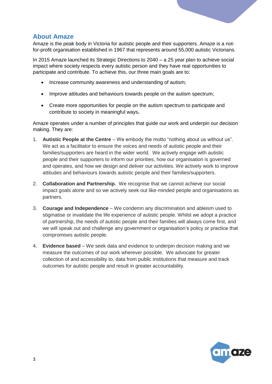

## <span id="page-2-0"></span>**About Amaze**

Amaze is the peak body in Victoria for autistic people and their supporters. Amaze is a notfor-profit organisation established in 1967 that represents around 55,000 autistic Victorians.

In 2015 Amaze launched its Strategic Directions to 2040 – a 25 year plan to achieve social impact where society respects every autistic person and they have real opportunities to participate and contribute. To achieve this, our three main goals are to:

- Increase community awareness and understanding of autism;
- Improve attitudes and behaviours towards people on the autism spectrum;
- Create more opportunities for people on the autism spectrum to participate and contribute to society in meaningful ways**.**

Amaze operates under a number of principles that guide our work and underpin our decision making. They are:

- 1. **Autistic People at the Centre**  We embody the motto "nothing about us without us". We act as a facilitator to ensure the voices and needs of autistic people and their families/supporters are heard in the wider world. We actively engage with autistic people and their supporters to inform our priorities, how our organisation is governed and operates, and how we design and deliver our activities. We actively work to improve attitudes and behaviours towards autistic people and their families/supporters.
- 2. **Collaboration and Partnership.** We recognise that we cannot achieve our social impact goals alone and so we actively seek out like-minded people and organisations as partners.
- 3. **Courage and Independence** We condemn any discrimination and ableism used to stigmatise or invalidate the life experience of autistic people. Whilst we adopt a practice of partnership, the needs of autistic people and their families will always come first, and we will speak out and challenge any government or organisation's policy or practice that compromises autistic people.
- 4. **Evidence based** We seek data and evidence to underpin decision making and we measure the outcomes of our work wherever possible. We advocate for greater collection of and accessibility to, data from public institutions that measure and track outcomes for autistic people and result in greater accountability.

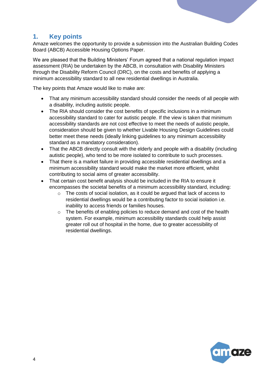# <span id="page-3-0"></span>**1. Key points**

Amaze welcomes the opportunity to provide a submission into the Australian Building Codes Board (ABCB) Accessible Housing Options Paper.

We are pleased that the Building Ministers' Forum agreed that a national regulation impact assessment (RIA) be undertaken by the ABCB, in consultation with Disability Ministers through the Disability Reform Council (DRC), on the costs and benefits of applying a minimum accessibility standard to all new residential dwellings in Australia.

The key points that Amaze would like to make are:

- That any minimum accessibility standard should consider the needs of all people with a disability, including autistic people.
- The RIA should consider the cost benefits of specific inclusions in a minimum accessibility standard to cater for autistic people. If the view is taken that minimum accessibility standards are not cost effective to meet the needs of autistic people, consideration should be given to whether Livable Housing Design Guidelines could better meet these needs (ideally linking guidelines to any minimum accessibility standard as a mandatory consideration).
- That the ABCB directly consult with the elderly and people with a disability (including autistic people), who tend to be more isolated to contribute to such processes.
- That there is a market failure in providing accessible residential dwellings and a minimum accessibility standard would make the market more efficient, whilst contributing to social aims of greater accessibility.
- That certain cost benefit analysis should be included in the RIA to ensure it encompasses the societal benefits of a minimum accessibility standard, including:
	- $\circ$  The costs of social isolation, as it could be argued that lack of access to residential dwellings would be a contributing factor to social isolation i.e. inability to access friends or families houses.
	- o The benefits of enabling policies to reduce demand and cost of the health system. For example, minimum accessibility standards could help assist greater roll out of hospital in the home, due to greater accessibility of residential dwellings.

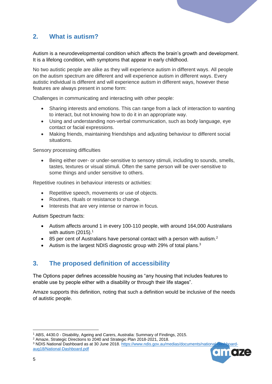

# <span id="page-4-0"></span>**2. What is autism?**

Autism is a neurodevelopmental condition which affects the brain's growth and development. It is a lifelong condition, with symptoms that appear in early childhood.

No two autistic people are alike as they will experience autism in different ways. All people on the autism spectrum are different and will experience autism in different ways. Every autistic individual is different and will experience autism in different ways, however these features are always present in some form:

Challenges in communicating and interacting with other people:

- Sharing interests and emotions. This can range from a lack of interaction to wanting to interact, but not knowing how to do it in an appropriate way.
- Using and understanding non-verbal communication, such as body language, eye contact or facial expressions.
- Making friends, maintaining friendships and adjusting behaviour to different social situations.

#### Sensory processing difficulties

 Being either over- or under-sensitive to sensory stimuli, including to sounds, smells, tastes, textures or visual stimuli. Often the same person will be over-sensitive to some things and under sensitive to others.

Repetitive routines in behaviour interests or activities:

- Repetitive speech, movements or use of objects.
- Routines, rituals or resistance to change.
- Interests that are very intense or narrow in focus.

Autism Spectrum facts:

- Autism affects around 1 in every 100-110 people, with around 164,000 Australians with autism  $(2015).<sup>1</sup>$
- 85 per cent of Australians have personal contact with a person with autism.<sup>2</sup>
- Autism is the largest NDIS diagnostic group with 29% of total plans. $3$

# <span id="page-4-1"></span>**3. The proposed definition of accessibility**

The Options paper defines accessible housing as "any housing that includes features to enable use by people either with a disability or through their life stages".

Amaze supports this definition, noting that such a definition would be inclusive of the needs of autistic people.

<sup>&</sup>lt;sup>3</sup> NDIS National Dashboard as at 30 June 2018. https://www.ndis.gov.au/medias/documents/national[aug18/National-Dashboard.pdf](https://www.ndis.gov.au/medias/documents/national-dashboard-aug18/National-Dashboard.pdf)



<sup>1</sup> ABS, 4430.0 - Disability, Ageing and Carers, Australia: Summary of Findings, 2015.

<sup>2</sup> Amaze, Strategic Directions to 2040 and Strategic Plan 2018-2021, 2018.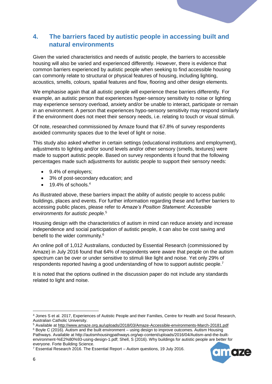# <span id="page-5-0"></span>**4. The barriers faced by autistic people in accessing built and natural environments**

Given the varied characteristics and needs of autistic people, the barriers to accessible housing will also be varied and experienced differently. However, there is evidence that common barriers experienced by autistic people when seeking to find accessible housing can commonly relate to structural or physical features of housing, including lighting, acoustics, smells, colours, spatial features and flow, flooring and other design elements.

We emphasise again that all autistic people will experience these barriers differently. For example, an autistic person that experiences hyper-sensory sensitivity to noise or lighting may experience sensory overload, anxiety and/or be unable to interact, participate or remain in an environment. A person that experiences hypo-sensory sensitivity may respond similarly if the environment does not meet their sensory needs, i.e. relating to touch or visual stimuli.

Of note, researched commissioned by Amaze found that 67.8% of survey respondents avoided community spaces due to the level of light or noise.

This study also asked whether in certain settings (educational institutions and employment), adjustments to lighting and/or sound levels and/or other sensory (smells, textures) were made to support autistic people. Based on survey respondents it found that the following percentages made such adjustments for autistic people to support their sensory needs:

- 9.4% of employers;
- 3% of post-secondary education; and
- $\bullet$  19.4% of schools  $4\overline{)}$

As illustrated above, these barriers impact the ability of autistic people to access public buildings, places and events. For further information regarding these and further barriers to accessing public places, please refer to *Amaze's Position Statement: Accessible environments for autistic people.*<sup>5</sup>

Housing design with the characteristics of autism in mind can reduce anxiety and increase independence and social participation of autistic people, it can also be cost saving and benefit to the wider community.<sup>6</sup>

An online poll of 1,012 Australians, conducted by Essential Research (commissioned by Amaze) in July 2016 found that 64% of respondents were aware that people on the autism spectrum can be over or under sensitive to stimuli like light and noise. Yet only 29% of respondents reported having a good understanding of how to support autistic people.<sup>7</sup>

It is noted that the options outlined in the discussion paper do not include any standards related to light and noise.



 $\overline{a}$ 

<sup>4</sup> Jones S et al. 2017, Experiences of Autistic People and their Families, Centre for Health and Social Research, Australian Catholic University.

<sup>5</sup> Available at<http://www.amaze.org.au/uploads/2018/03/Amaze-Accessible-environments-March-20181.pdf>

<sup>&</sup>lt;sup>6</sup> Boyle C (2016). Autism and the built environment – using design to improve outcomes. Autism Housing Pathways. Available at http://autismhousingpathways.org/wp-content/uploads/2016/04/Autism-and-the-builtenvironment-%E2%80%93-using-design-1.pdf; Shell, S (2016). Why buildings for autistic people are better for everyone. Forte Building Science.

<sup>7</sup> Essential Research 2016. The Essential Report – Autism questions, 19 July 2016.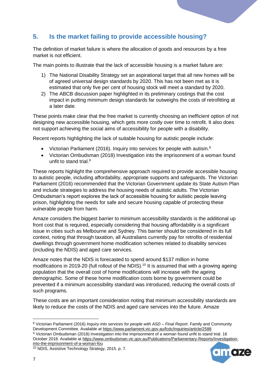# <span id="page-6-0"></span>**5. Is the market failing to provide accessible housing?**

The definition of market failure is where the allocation of goods and resources by a free market is not efficient.

The main points to illustrate that the lack of accessible housing is a market failure are:

- 1) The National Disability Strategy set an aspirational target that all new homes will be of agreed universal design standards by 2020. This has not been met as it is estimated that only five per cent of housing stock will meet a standard by 2020.
- 2) The ABCB discussion paper highlighted in its preliminary costings that the cost impact in putting minimum design standards far outweighs the costs of retrofitting at a later date.

These points make clear that the free market is currently choosing an inefficient option of not designing new accessible housing, which gets more costly over time to retrofit. It also does not support achieving the social aims of accessibility for people with a disability.

Recent reports highlighting the lack of suitable housing for autistic people include:

- Victorian Parliament (2016). Inquiry into services for people with autism.<sup>8</sup>
- Victorian Ombudsman (2018) Investigation into the imprisonment of a woman found unfit to stand trial.<sup>9</sup>

These reports highlight the comprehensive approach required to provide accessible housing to autistic people, including affordability, appropriate supports and safeguards. The Victorian Parliament (2016) recommended that the Victorian Government update its State Autism Plan and include strategies to address the housing needs of autistic adults. The Victorian Ombudsman's report explores the lack of accessible housing for autistic people leaving prison, highlighting the needs for safe and secure housing capable of protecting these vulnerable people from harm.

Amaze considers the biggest barrier to minimum accessibility standards is the additional up front cost that is required, especially considering that housing affordability is a significant issue in cities such as Melbourne and Sydney. This barrier should be considered in its full context, noting that through taxation, all Australians currently pay for retrofits of residential dwellings through government home modification schemes related to disability services (including the NDIS) and aged care services.

Amaze notes that the NDIS is forecasted to spend around \$137 million in home modifications in 2019-20 (full rollout of the NDIS).<sup>10</sup> It is assumed that with a growing ageing population that the overall cost of home modifications will increase with the ageing demographic. Some of these home modification costs borne by government could be prevented if a minimum accessibility standard was introduced, reducing the overall costs of such programs.

These costs are an important consideration noting that minimum accessibility standards are likely to reduce the costs of the NDIS and aged care services into the future. Amaze

<sup>8</sup> Victorian Parliament (2016) *Inquiry into services for people with ASD – Final Report*. Family and Community Development Committee. Available at<https://www.parliament.vic.gov.au/fcdc/inquiries/article/2588> <sup>9</sup> Victorian Ombudsman (2018) Investigation into the imprisonment of a woman found unfit to stand trial. 16 October 2018. Available a[t https://www.ombudsman.vic.gov.au/Publications/Parliamentary-Reports/Investigation](https://www.ombudsman.vic.gov.au/Publications/Parliamentary-Reports/Investigation-into-the-imprisonment-of-a-woman-fou)[into-the-imprisonment-of-a-woman-fou](https://www.ombudsman.vic.gov.au/Publications/Parliamentary-Reports/Investigation-into-the-imprisonment-of-a-woman-fou)



<sup>10</sup> NDIS, Assistive Technology Strategy, 2015. p. 7.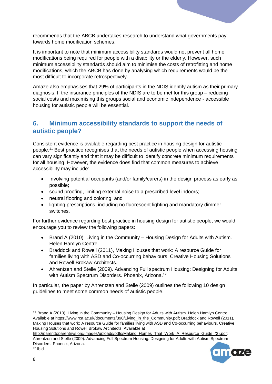recommends that the ABCB undertakes research to understand what governments pay towards home modification schemes.

It is important to note that minimum accessibility standards would not prevent all home modifications being required for people with a disability or the elderly. However, such minimum accessibility standards should aim to minimise the costs of retrofitting and home modifications, which the ABCB has done by analysing which requirements would be the most difficult to incorporate retrospectively.

Amaze also emphasises that 29% of participants in the NDIS identify autism as their primary diagnosis. If the insurance principles of the NDIS are to be met for this group – reducing social costs and maximising this groups social and economic independence - accessible housing for autistic people will be essential.

# <span id="page-7-0"></span>**6. Minimum accessibility standards to support the needs of autistic people?**

Consistent evidence is available regarding best practice in housing design for autistic people.<sup>11</sup> Best practice recognises that the needs of autistic people when accessing housing can vary significantly and that it may be difficult to identify concrete minimum requirements for all housing. However, the evidence does find that common measures to achieve accessibility may include:

- Involving potential occupants (and/or family/carers) in the design process as early as possible;
- sound proofing, limiting external noise to a prescribed level indoors;
- neutral flooring and coloring; and
- lighting prescriptions, including no fluorescent lighting and mandatory dimmer switches.

For further evidence regarding best practice in housing design for autistic people, we would encourage you to review the following papers:

- Brand A (2010). Living in the Community Housing Design for Adults with Autism. Helen Hamlyn Centre.
- Braddock and Rowell (2011), Making Houses that work: A resource Guide for families living with ASD and Co-occurring behaviours. Creative Housing Solutions and Rowell Brokaw Architects.
- Ahrentzen and Stelle (2009). Advancing Full spectrum Housing: Designing for Adults with Autism Spectrum Disorders. Phoenix, Arizona.<sup>12</sup>

In particular, the paper by Ahrentzen and Stelle (2009) outlines the following 10 design guidelines to meet some common needs of autistic people.

[http://parenttoparentnys.org/images/uploads/pdfs/Making\\_Homes\\_That\\_Work\\_A\\_Resource\\_Guide\\_\(2\).pdf;](http://parenttoparentnys.org/images/uploads/pdfs/Making_Homes_That_Work_A_Resource_Guide_(2).pdf) Ahrentzen and Stelle (2009). Advancing Full Spectrum Housing: Designing for Adults with Autism Spectrum Disorders. Phoenix, Arizona.  $12$  Ibid.



<sup>11</sup> Brand A (2010). Living in the Community – Housing Design for Adults with Autism. Helen Hamlyn Centre. Available at https://www.rca.ac.uk/documents/390/Living\_in\_the\_Community.pdf; Braddock and Rowell (2011), Making Houses that work: A resource Guide for families living with ASD and Co-occurring behaviours. Creative Housing Solutions and Rowell Brokaw Architects. Available at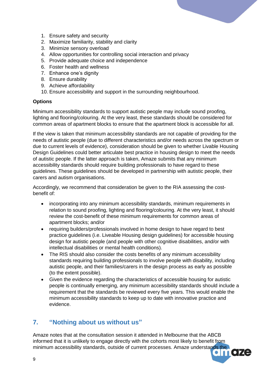

- 1. Ensure safety and security
- 2. Maximize familiarity, stability and clarity
- 3. Minimize sensory overload
- 4. Allow opportunities for controlling social interaction and privacy
- 5. Provide adequate choice and independence
- 6. Foster health and wellness
- 7. Enhance one's dignity
- 8. Ensure durability
- 9. Achieve affordability
- 10. Ensure accessibility and support in the surrounding neighbourhood.

#### **Options**

Minimum accessibility standards to support autistic people may include sound proofing, lighting and flooring/colouring. At the very least, these standards should be considered for common areas of apartment blocks to ensure that the apartment block is accessible for all.

If the view is taken that minimum accessibility standards are not capable of providing for the needs of autistic people (due to different characteristics and/or needs across the spectrum or due to current levels of evidence), consideration should be given to whether Livable Housing Design Guidelines could better articulate best practice in housing design to meet the needs of autistic people. If the latter approach is taken, Amaze submits that any minimum accessibility standards should require building professionals to have regard to these guidelines. These guidelines should be developed in partnership with autistic people, their carers and autism organisations.

Accordingly, we recommend that consideration be given to the RIA assessing the costbenefit of:

- incorporating into any minimum accessibility standards, minimum requirements in relation to sound proofing, lighting and flooring/colouring. At the very least, it should review the cost-benefit of these minimum requirements for common areas of apartment blocks; and/or
- requiring builders/professionals involved in home design to have regard to best practice guidelines (i.e. Liveable Housing design guidelines) for accessible housing design for autistic people (and people with other cognitive disabilities, and/or with intellectual disabilities or mental health conditions).
- The RIS should also consider the costs benefits of any minimum accessibility standards requiring building professionals to involve people with disability, including autistic people, and their families/carers in the design process as early as possible (to the extent possible).
- Given the evidence regarding the characteristics of accessible housing for autistic people is continually emerging, any minimum accessibility standards should include a requirement that the standards be reviewed every five years. This would enable the minimum accessibility standards to keep up to date with innovative practice and evidence.

# <span id="page-8-0"></span>**7. "Nothing about us without us"**

Amaze notes that at the consultation session it attended in Melbourne that the ABCB informed that it is unlikely to engage directly with the cohorts most likely to benefit from minimum accessibility standards, outside of current processes. Amaze understands the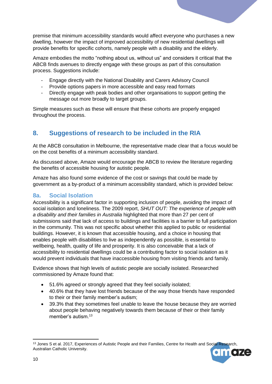premise that minimum accessibility standards would affect everyone who purchases a new dwelling, however the impact of improved accessibility of new residential dwellings will provide benefits for specific cohorts, namely people with a disability and the elderly.

Amaze embodies the motto "nothing about us, without us" and considers it critical that the ABCB finds avenues to directly engage with these groups as part of this consultation process. Suggestions include:

- Engage directly with the National Disability and Carers Advisory Council
- Provide options papers in more accessible and easy read formats
- Directly engage with peak bodies and other organisations to support getting the message out more broadly to target groups.

Simple measures such as these will ensure that these cohorts are properly engaged throughout the process.

# <span id="page-9-0"></span>**8. Suggestions of research to be included in the RIA**

At the ABCB consultation in Melbourne, the representative made clear that a focus would be on the cost benefits of a minimum accessibility standard.

As discussed above, Amaze would encourage the ABCB to review the literature regarding the benefits of accessible housing for autistic people.

Amaze has also found some evidence of the cost or savings that could be made by government as a by-product of a minimum accessibility standard, which is provided below:

#### <span id="page-9-1"></span>**8a. Social Isolation**

Accessibility is a significant factor in supporting inclusion of people, avoiding the impact of social isolation and loneliness. The 2009 report, *SHUT OUT: The experience of people with a disability and their families in Australia* highlighted that more than 27 per cent of submissions said that lack of access to buildings and facilities is a barrier to full participation in the community. This was not specific about whether this applied to public or residential buildings. However, it is known that accessible housing, and a choice in housing that enables people with disabilities to live as independently as possible, is essential to wellbeing, health, quality of life and prosperity. It is also conceivable that a lack of accessibility to residential dwellings could be a contributing factor to social isolation as it would prevent individuals that have inaccessible housing from visiting friends and family.

Evidence shows that high levels of autistic people are socially isolated. Researched commissioned by Amaze found that:

- 51.6% agreed or strongly agreed that they feel socially isolated;
- 40.6% that they have lost friends because of the way those friends have responded to their or their family member's autism;
- 39.3% that they sometimes feel unable to leave the house because they are worried about people behaving negatively towards them because of their or their family member's autism.<sup>13</sup>

**<sup>.</sup>** <sup>13</sup> Jones S et al. 2017, Experiences of Autistic People and their Families, Centre for Health and Social Research, Australian Catholic University.

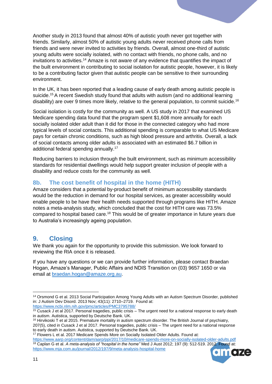Another study in 2013 found that almost 40% of autistic youth never got together with friends. Similarly, almost 50% of autistic young adults never received phone calls from friends and were never invited to activities by friends. Overall, almost one-third of autistic young adults were socially isolated, with no contact with friends, no phone calls, and no invitations to activities.<sup>14</sup> Amaze is not aware of any evidence that quantifies the impact of the built environment in contributing to social isolation for autistic people, however, it is likely to be a contributing factor given that autistic people can be sensitive to their surrounding environment.

In the UK, it has been reported that a leading cause of early death among autistic people is suicide.<sup>15</sup> A recent Swedish study found that adults with autism (and no additional learning disability) are over 9 times more likely, relative to the general population, to commit suicide.<sup>16</sup>

Social isolation is costly for the community as well. A US study in 2017 that examined US Medicare spending data found that the program spent \$1,608 more annually for each socially isolated older adult than it did for those in the connected category who had more typical levels of social contacts. This additional spending is comparable to what US Medicare pays for certain chronic conditions, such as high blood pressure and arthritis. Overall, a lack of social contacts among older adults is associated with an estimated \$6.7 billion in additional federal spending annually.<sup>17</sup>

Reducing barriers to inclusion through the built environment, such as minimum accessibility standards for residential dwellings would help support greater inclusion of people with a disability and reduce costs for the community as well.

## <span id="page-10-0"></span>**8b. The cost benefit of hospital in the home (HITH)**

Amaze considers that a potential by-product benefit of minimum accessibility standards would be the reduction in demand for our hospital services, as greater accessibility would enable people to be have their health needs supported through programs like HITH. Amaze notes a meta-analysis study, which concluded that the cost for HITH care was 73.5% compared to hospital based care.<sup>18</sup> This would be of greater importance in future years due to Australia's increasingly ageing population.

# <span id="page-10-1"></span>**9. Closing**

We thank you again for the opportunity to provide this submission. We look forward to reviewing the RIA once it is released.

If you have any questions or we can provide further information, please contact Braedan Hogan, Amaze's Manager, Public Affairs and NDIS Transition on (03) 9657 1650 or via email at [braedan.hogan@amaze.org.au.](mailto:braedan.hogan@amaze.org.au)

<https://www.aarp.org/content/dam/aarp/ppi/2017/10/medicare-spends-more-on-socially-isolated-older-adults.pdf> <sup>18</sup> Caplan G et al. *A meta-analysis of "hospital in the home"* Med J Aust 2012; 197 (9): 512-519. 2012. Found at: <https://www.mja.com.au/journal/2012/197/9/meta-analysis-hospital-home>



<sup>14</sup> Orsmond G et al. 2013 Social Participation Among Young Adults with an Autism Spectrum Disorder, published in: J Autism Dev Disord. 2013 Nov; 43(11): 2710–2719. Found at: <https://www.ncbi.nlm.nih.gov/pmc/articles/PMC3795788/>

<sup>15</sup> Cusack J et al 2017. Personal tragedies, public crisis – The urgent need for a national response to early death in autism. Autistica, supported by Deutsche Bank. UK.

<sup>&</sup>lt;sup>16</sup> Hirvikoski T et al 2015. Premature mortality in autism spectrum disorder. The British Journal of psychiatry, 207(5), cited in Cusack J et al 2017. Personal tragedies, public crisis – The urgent need for a national response to early death in autism. Autistica, supported by Deutsche Bank. UK.

<sup>&</sup>lt;sup>17</sup> Flowers L et al. 2017 Medicare Spends More on Socially Isolated Older Adults. Found at: